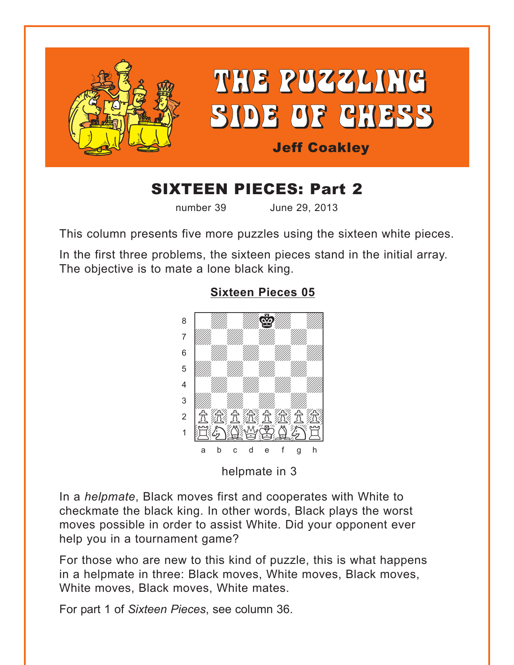<span id="page-0-0"></span>

# SIXTEEN PIECES: Part 2

number 39 June 29, 2013

This column presents five more puzzles using the sixteen white pieces.

In the first three problems, the sixteen pieces stand in the initial array. The objective is to mate a lone black king.



## **[Sixteen Pieces 05](#page-5-0)**

helpmate in 3

In a *helpmate*, Black moves first and cooperates with White to checkmate the black king. In other words, Black plays the worst moves possible in order to assist White. Did your opponent ever help you in a tournament game?

For those who are new to this kind of puzzle, this is what happens in a helpmate in three: Black moves, White moves, Black moves, White moves, Black moves, White mates.

For part 1 of *Sixteen Pieces*, see column 36.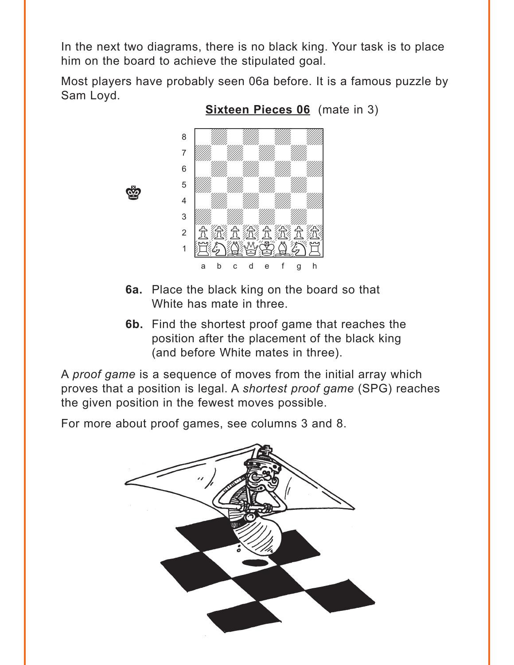<span id="page-1-0"></span>In the next two diagrams, there is no black king. Your task is to place him on the board to achieve the stipulated goal.

Most players have probably seen 06a before. It is a famous puzzle by Sam Loyd.



**Sixteen Pieces 06** (mate in 3)

- 6a. Place the black king on the board so that White has mate in three.
- 6b. Find the shortest proof game that reaches the position after the placement of the black king (and before White mates in three).

A proof game is a sequence of moves from the initial array which proves that a position is legal. A shortest proof game (SPG) reaches the given position in the fewest moves possible.

For more about proof games, see columns 3 and 8.

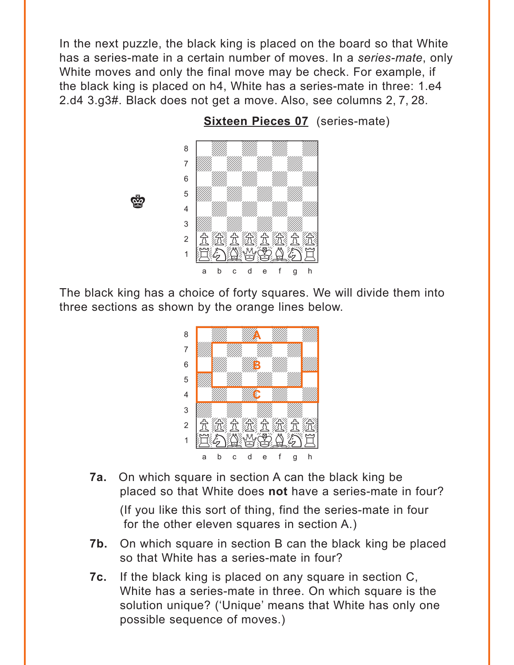<span id="page-2-0"></span>In the next puzzle, the black king is placed on the board so that White has a series-mate in a certain number of moves. In a *series-mate*, only White moves and only the final move may be check. For example, if the black king is placed on h4, White has a series-mate in three: 1.e4 2.d4 3.g3#. Black does not get a move. Also, see columns 2, 7, 28.



**es** 

**[Sixteen Pieces 07](#page-6-0)** (series-mate)

The black king has a choice of forty squares. We will divide them into three sections as shown by the orange lines below.



- **7a.** On which square in section A can the black king be placed so that White does **not** have a series-mate in four? (If you like this sort of thing, find the series-mate in four for the other eleven squares in section A.)
- **7b.** On which square in section B can the black king be placed so that White has a series-mate in four?
- **7c.** If the black king is placed on any square in section C, White has a series-mate in three. On which square is the solution unique? ('Unique' means that White has only one possible sequence of moves.)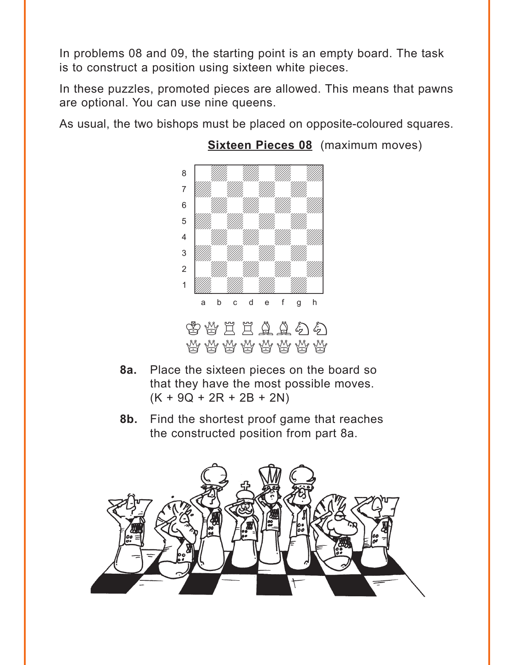<span id="page-3-0"></span>In problems 08 and 09, the starting point is an empty board. The task is to construct a position using sixteen white pieces.

In these puzzles, promoted pieces are allowed. This means that pawns are optional. You can use nine queens.

As usual, the two bishops must be placed on opposite-coloured squares.



## **[Sixteen Pieces 08](#page-11-0)** (maximum moves)

- **8a.** Place the sixteen pieces on the board so that they have the most possible moves.  $(K + 9Q + 2R + 2B + 2N)$
- **8b.** Find the shortest proof game that reaches the constructed position from part 8a.

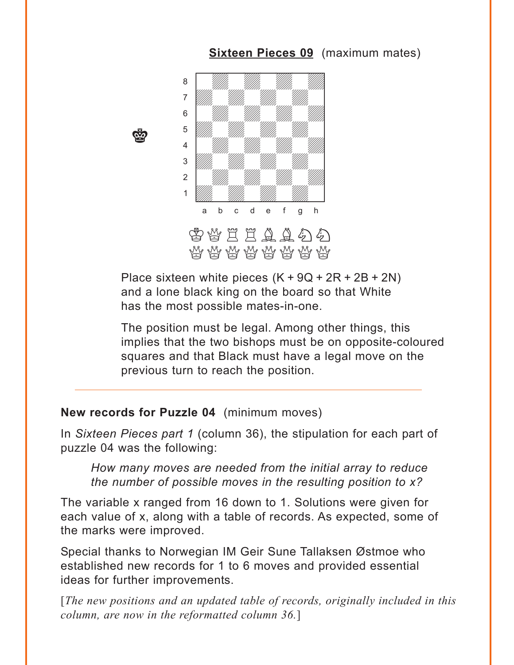<span id="page-4-0"></span>

**[Sixteen Pieces 09](#page-13-0)** (maximum mates)

Place sixteen white pieces  $(K + 9Q + 2R + 2B + 2N)$ and a lone black king on the board so that White has the most possible mates-in-one.

The position must be legal. Among other things, this implies that the two bishops must be on opposite-coloured squares and that Black must have a legal move on the previous turn to reach the position.

#### **New records for Puzzle 04** (minimum moves)

r.<br>G

In *Sixteen Pieces part 1* (column 36), the stipulation for each part of puzzle 04 was the following:

*How many moves are needed from the initial array to reduce the number of possible moves in the resulting position to x?* 

The variable x ranged from 16 down to 1. Solutions were given for each value of x, along with a table of records. As expected, some of the marks were improved.

Special thanks to Norwegian IM Geir Sune Tallaksen Østmoe who established new records for 1 to 6 moves and provided essential ideas for further improvements.

[*The new positions and an updated table of records, originally included in this column, are now in the reformatted column 36.*]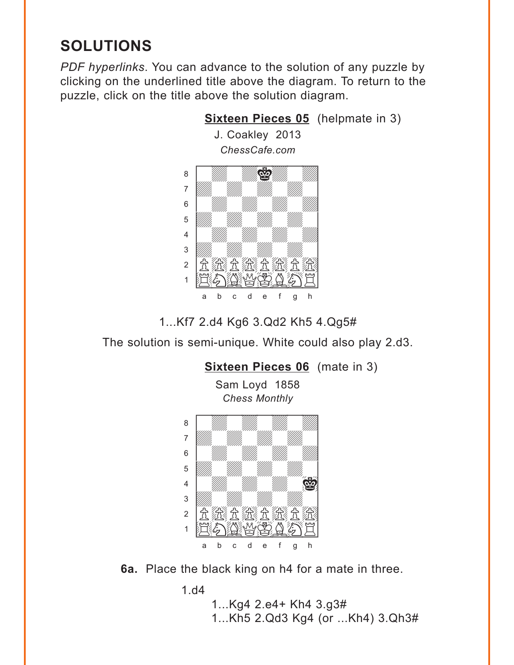## <span id="page-5-0"></span>**SOLUTIONS**

*PDF hyperlinks*. You can advance to the solution of any puzzle by clicking on the underlined title above the diagram. To return to the puzzle, click on the title above the solution diagram.



1...Kf7 2.d4 Kg6 3.Qd2 Kh5 4.Qg5#

The solution is semi-unique. White could also play 2.d3.



**6a.** Place the black king on h4 for a mate in three.

1.d4

1...Kg4 2.e4+ Kh4 3.g3# 1...Kh5 2.Qd3 Kg4 (or ...Kh4) 3.Qh3#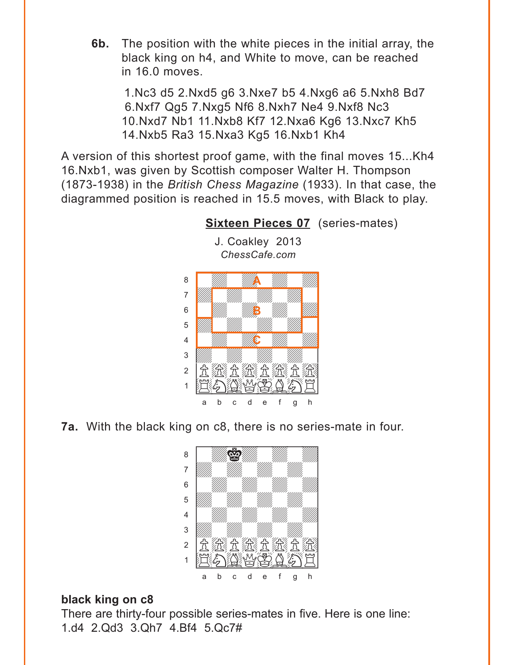<span id="page-6-0"></span>**6b.** The position with the white pieces in the initial array, the black king on h4, and White to move, can be reached in 16.0 moves.

1.Nc3 d5 2.Nxd5 g6 3.Nxe7 b5 4.Nxg6 a6 5.Nxh8 Bd7 6.Nxf7 Qg5 7.Nxg5 Nf6 8.Nxh7 Ne4 9.Nxf8 Nc3 10.Nxd7 Nb1 11.Nxb8 Kf7 12.Nxa6 Kg6 13.Nxc7 Kh5 14.Nxb5 Ra3 15.Nxa3 Kg5 16.Nxb1 Kh4

A version of this shortest proof game, with the final moves 15...Kh4 16.Nxb1, was given by Scottish composer Walter H. Thompson (1873-1938) in the *British Chess Magazine* (1933). In that case, the diagrammed position is reached in 15.5 moves, with Black to play.

> J. Coakley 2013 *ChessCafe.com*



**[Sixteen Pieces 07](#page-2-0)** (series-mates)

**7a.** With the black king on c8, there is no series-mate in four.



## **black king on c8**

There are thirty-four possible series-mates in five. Here is one line: 1.d4 2.Qd3 3.Qh7 4.Bf4 5.Qc7#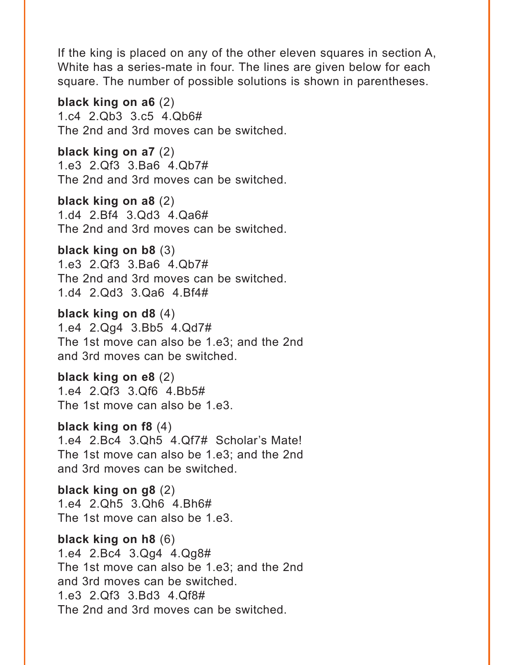If the king is placed on any of the other eleven squares in section A, White has a series-mate in four. The lines are given below for each square. The number of possible solutions is shown in parentheses.

**black king on a6** (2) 1.c4 2.Qb3 3.c5 4.Qb6# The 2nd and 3rd moves can be switched.

**black king on a7** (2) 1.e3 2.Qf3 3.Ba6 4.Qb7# The 2nd and 3rd moves can be switched.

**black king on a8** (2) 1.d4 2.Bf4 3.Qd3 4.Qa6# The 2nd and 3rd moves can be switched.

**black king on b8** (3) 1.e3 2.Qf3 3.Ba6 4.Qb7# The 2nd and 3rd moves can be switched. 1.d4 2.Qd3 3.Qa6 4.Bf4#

**black king on d8** (4) 1.e4 2.Qg4 3.Bb5 4.Qd7# The 1st move can also be 1.e3; and the 2nd and 3rd moves can be switched.

**black king on e8** (2) 1.e4 2.Qf3 3.Qf6 4.Bb5# The 1st move can also be 1.e3.

**black king on f8** (4) 1.e4 2.Bc4 3.Qh5 4.Qf7# Scholar's Mate! The 1st move can also be 1.e3; and the 2nd and 3rd moves can be switched.

**black king on g8** (2) 1.e4 2.Qh5 3.Qh6 4.Bh6# The 1st move can also be 1.e3.

**black king on h8** (6) 1.e4 2.Bc4 3.Qg4 4.Qg8# The 1st move can also be 1.e3; and the 2nd and 3rd moves can be switched. 1.e3 2.Qf3 3.Bd3 4.Qf8# The 2nd and 3rd moves can be switched.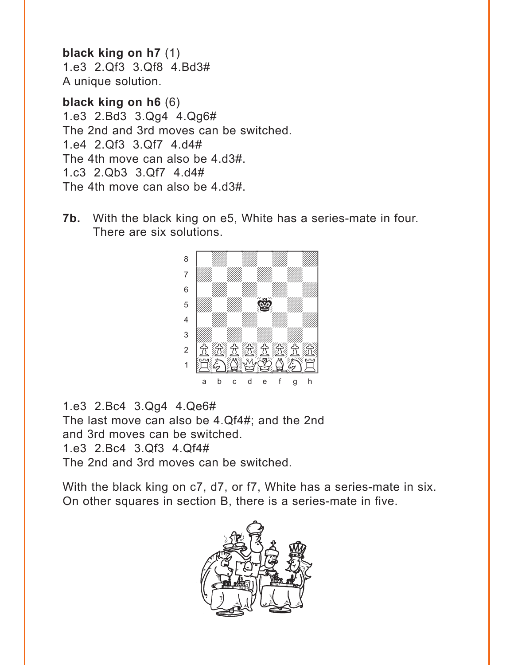**black king on h7** (1) 1.e3 2.Qf3 3.Qf8 4.Bd3# A unique solution.

**black king on h6** (6) 1.e3 2.Bd3 3.Qg4 4.Qg6# The 2nd and 3rd moves can be switched. 1.e4 2.Qf3 3.Qf7 4.d4# The 4th move can also be 4.d3#. 1.c3 2.Qb3 3.Qf7 4.d4# The 4th move can also be 4.d3#.

**7b.** With the black king on e5, White has a series-mate in four. There are six solutions.



1.e3 2.Bc4 3.Qg4 4.Qe6# The last move can also be 4.Qf4#; and the 2nd and 3rd moves can be switched. 1.e3 2.Bc4 3.Qf3 4.Qf4# The 2nd and 3rd moves can be switched.

With the black king on c7, d7, or f7, White has a series-mate in six. On other squares in section B, there is a series-mate in five.

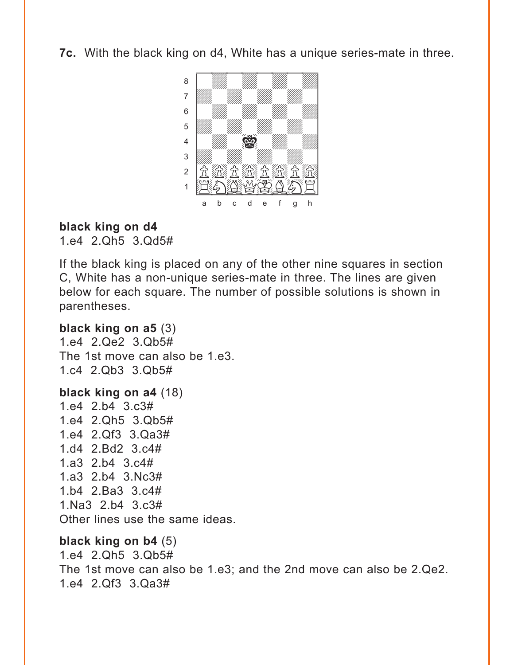**7c.** With the black king on d4, White has a unique series-mate in three.



## **black king on d4**

1.e4 2.Qh5 3.Qd5#

If the black king is placed on any of the other nine squares in section C, White has a non-unique series-mate in three. The lines are given below for each square. The number of possible solutions is shown in parentheses.

## **black king on a5** (3)

1.e4 2.Qe2 3.Qb5# The 1st move can also be 1.e3. 1.c4 2.Qb3 3.Qb5#

**black king on a4** (18) 1.e4 2.b4 3.c3# 1.e4 2.Qh5 3.Qb5# 1.e4 2.Qf3 3.Qa3# 1.d4 2.Bd2 3.c4# 1.a3 2.b4 3.c4# 1.a3 2.b4 3.Nc3# 1.b4 2.Ba3 3.c4# 1.Na3 2.b4 3.c3# Other lines use the same ideas.

## **black king on b4** (5)

1.e4 2.Qh5 3.Qb5# The 1st move can also be 1.e3; and the 2nd move can also be 2.Qe2. 1.e4 2.Qf3 3.Qa3#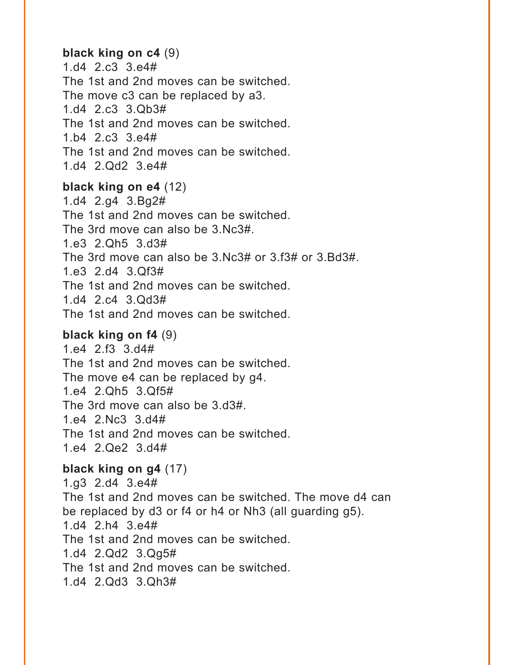#### **black king on c4** (9)

1.d4 2.c3 3.e4# The 1st and 2nd moves can be switched. The move c3 can be replaced by a3. 1.d4 2.c3 3.Qb3# The 1st and 2nd moves can be switched. 1.b4 2.c3 3.e4# The 1st and 2nd moves can be switched. 1.d4 2.Qd2 3.e4#

#### **black king on e4** (12)

1.d4 2.g4 3.Bg2# The 1st and 2nd moves can be switched. The 3rd move can also be 3.Nc3#. 1.e3 2.Qh5 3.d3# The 3rd move can also be 3.Nc3# or 3.f3# or 3.Bd3#. 1.e3 2.d4 3.Qf3# The 1st and 2nd moves can be switched. 1.d4 2.c4 3.Qd3# The 1st and 2nd moves can be switched.

#### **black king on f4** (9)

1.e4 2.f3 3.d4# The 1st and 2nd moves can be switched. The move e4 can be replaced by g4. 1.e4 2.Qh5 3.Qf5# The 3rd move can also be 3.d3#. 1.e4 2.Nc3 3.d4# The 1st and 2nd moves can be switched. 1.e4 2.Qe2 3.d4#

#### **black king on g4** (17)

1.g3 2.d4 3.e4# The 1st and 2nd moves can be switched. The move d4 can be replaced by d3 or f4 or h4 or Nh3 (all guarding g5). 1.d4 2.h4 3.e4# The 1st and 2nd moves can be switched. 1.d4 2.Qd2 3.Qg5# The 1st and 2nd moves can be switched. 1.d4 2.Qd3 3.Qh3#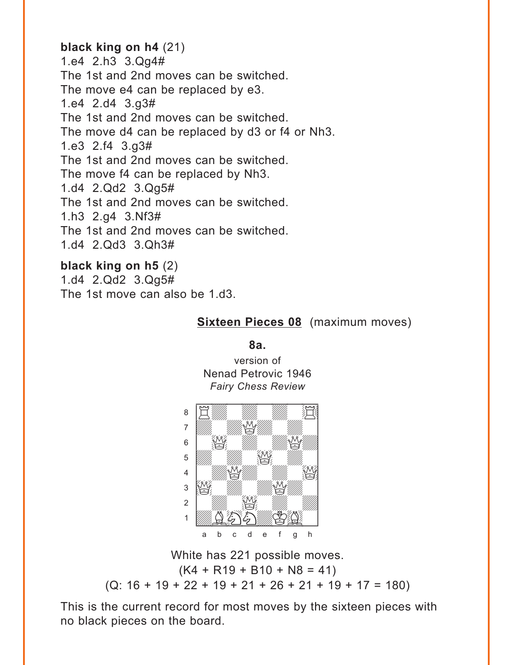## <span id="page-11-0"></span>**black king on h4** (21)

1.e4 2.h3 3.Qg4# The 1st and 2nd moves can be switched. The move e4 can be replaced by e3. 1.e4 2.d4 3.g3# The 1st and 2nd moves can be switched. The move d4 can be replaced by d3 or f4 or Nh3. 1.e3 2.f4 3.g3# The 1st and 2nd moves can be switched. The move f4 can be replaced by Nh3. 1.d4 2.Qd2 3.Qg5# The 1st and 2nd moves can be switched. 1.h3 2.g4 3.Nf3# The 1st and 2nd moves can be switched. 1.d4 2.Qd3 3.Qh3#

**black king on h5** (2) 1.d4 2.Qd2 3.Qg5# The 1st move can also be 1.d3.

## **[Sixteen Pieces 08](#page-3-0)** (maximum moves)

**8a.**

version of Nenad Petrovic 1946 *Fairy Chess Review*



White has 221 possible moves.  $(K4 + R19 + B10 + N8 = 41)$ (Q: 16 + 19 + 22 + 19 + 21 + 26 + 21 + 19 + 17 = 180)

This is the current record for most moves by the sixteen pieces with no black pieces on the board.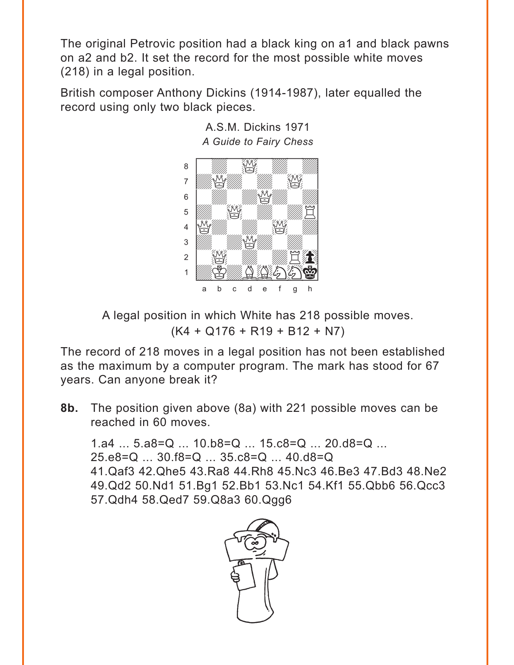The original Petrovic position had a black king on a1 and black pawns on a2 and b2. It set the record for the most possible white moves (218) in a legal position.

British composer Anthony Dickins (1914-1987), later equalled the record using only two black pieces.



A.S.M. Dickins 1971 A Guide to Fairy Chess

A legal position in which White has 218 possible moves.  $(K4 + Q176 + R19 + B12 + N7)$ 

The record of 218 moves in a legal position has not been established as the maximum by a computer program. The mark has stood for 67 years. Can anyone break it?

The position given above (8a) with 221 possible moves can be  $8<sub>b</sub>$ . reached in 60 moves.

1.a4  $\dots$  5.a8=Q  $\dots$  10.b8=Q  $\dots$  15.c8=Q  $\dots$  20.d8=Q  $\dots$  $25. e8 = Q$  ...  $30. f8 = Q$  ...  $35. c8 = Q$  ...  $40. d8 = Q$ 41. Qaf3 42. Qhe5 43. Ra8 44. Rh8 45. Nc3 46. Be3 47. Bd3 48. Ne2 49. Qd2 50. Nd1 51. Bg1 52. Bb1 53. Nc1 54. Kf1 55. Qbb6 56. Qcc3 57. Qdh4 58. Qed7 59. Q8a3 60. Qqq6